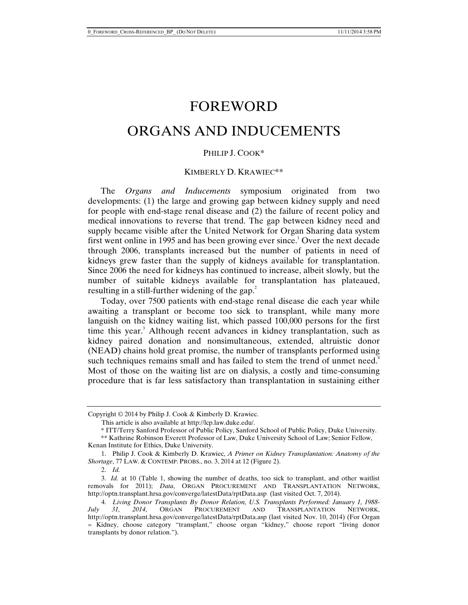# FOREWORD

# ORGANS AND INDUCEMENTS

# PHILIP J. COOK\*

# KIMBERLY D. KRAWIEC\*\*

The *Organs and Inducements* symposium originated from two developments: (1) the large and growing gap between kidney supply and need for people with end-stage renal disease and (2) the failure of recent policy and medical innovations to reverse that trend. The gap between kidney need and supply became visible after the United Network for Organ Sharing data system first went online in 1995 and has been growing ever since.<sup>1</sup> Over the next decade through 2006, transplants increased but the number of patients in need of kidneys grew faster than the supply of kidneys available for transplantation. Since 2006 the need for kidneys has continued to increase, albeit slowly, but the number of suitable kidneys available for transplantation has plateaued, resulting in a still-further widening of the gap. $2^2$ 

Today, over 7500 patients with end-stage renal disease die each year while awaiting a transplant or become too sick to transplant, while many more languish on the kidney waiting list, which passed 100,000 persons for the first time this year.<sup>3</sup> Although recent advances in kidney transplantation, such as kidney paired donation and nonsimultaneous, extended, altruistic donor (NEAD) chains hold great promise, the number of transplants performed using such techniques remains small and has failed to stem the trend of unmet need.<sup>4</sup> Most of those on the waiting list are on dialysis, a costly and time-consuming procedure that is far less satisfactory than transplantation in sustaining either

Copyright © 2014 by Philip J. Cook & Kimberly D. Krawiec.

This article is also available at http://lcp.law.duke.edu/.

 <sup>\*</sup> ITT/Terry Sanford Professor of Public Policy, Sanford School of Public Policy, Duke University.

 <sup>\*\*</sup> Kathrine Robinson Everett Professor of Law, Duke University School of Law; Senior Fellow, Kenan Institute for Ethics, Duke University.

 <sup>1.</sup> Philip J. Cook & Kimberly D. Krawiec, *A Primer on Kidney Transplantation: Anatomy of the Shortage*, 77 LAW. & CONTEMP. PROBS., no. 3, 2014 at 12 (Figure 2).

 <sup>2.</sup> *Id.*

 <sup>3.</sup> *Id.* at 10 (Table 1, showing the number of deaths, too sick to transplant, and other waitlist removals for 2011); *Data*, ORGAN PROCUREMENT AND TRANSPLANTATION NETWORK, http://optn.transplant.hrsa.gov/converge/latestData/rptData.asp (last visited Oct. 7, 2014).

 <sup>4.</sup> *Living Donor Transplants By Donor Relation, U.S. Transplants Performed: January 1, 1988- July 31, 2014*, ORGAN PROCUREMENT AND TRANSPLANTATION NETWORK, http://optn.transplant.hrsa.gov/converge/latestData/rptData.asp (last visited Nov. 10, 2014) (For Organ = Kidney, choose category "transplant," choose organ "kidney," choose report "living donor transplants by donor relation.").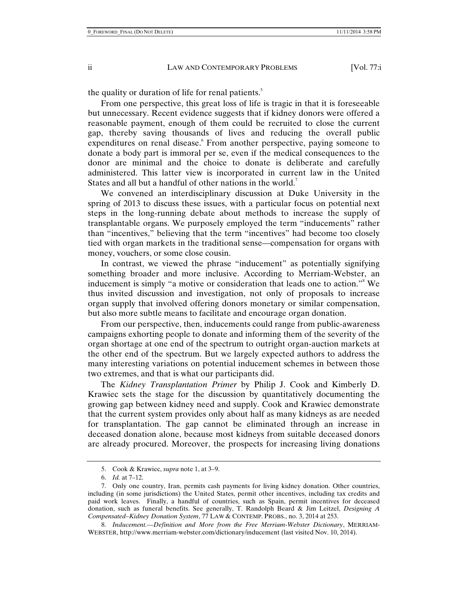the quality or duration of life for renal patients.<sup>5</sup>

From one perspective, this great loss of life is tragic in that it is foreseeable but unnecessary. Recent evidence suggests that if kidney donors were offered a reasonable payment, enough of them could be recruited to close the current gap, thereby saving thousands of lives and reducing the overall public expenditures on renal disease. From another perspective, paying someone to donate a body part is immoral per se, even if the medical consequences to the donor are minimal and the choice to donate is deliberate and carefully administered. This latter view is incorporated in current law in the United States and all but a handful of other nations in the world.<sup>7</sup>

We convened an interdisciplinary discussion at Duke University in the spring of 2013 to discuss these issues, with a particular focus on potential next steps in the long-running debate about methods to increase the supply of transplantable organs. We purposely employed the term "inducements" rather than "incentives," believing that the term "incentives" had become too closely tied with organ markets in the traditional sense—compensation for organs with money, vouchers, or some close cousin.

In contrast, we viewed the phrase "inducement" as potentially signifying something broader and more inclusive. According to Merriam-Webster, an inducement is simply "a motive or consideration that leads one to action."8 We thus invited discussion and investigation, not only of proposals to increase organ supply that involved offering donors monetary or similar compensation, but also more subtle means to facilitate and encourage organ donation.

From our perspective, then, inducements could range from public-awareness campaigns exhorting people to donate and informing them of the severity of the organ shortage at one end of the spectrum to outright organ-auction markets at the other end of the spectrum. But we largely expected authors to address the many interesting variations on potential inducement schemes in between those two extremes, and that is what our participants did.

The *Kidney Transplantation Primer* by Philip J. Cook and Kimberly D. Krawiec sets the stage for the discussion by quantitatively documenting the growing gap between kidney need and supply. Cook and Krawiec demonstrate that the current system provides only about half as many kidneys as are needed for transplantation. The gap cannot be eliminated through an increase in deceased donation alone, because most kidneys from suitable deceased donors are already procured. Moreover, the prospects for increasing living donations

 <sup>5.</sup> Cook & Krawiec, *supra* note 1, at 3–9.

 <sup>6.</sup> *Id.* at 7–12.

 <sup>7.</sup> Only one country, Iran, permits cash payments for living kidney donation. Other countries, including (in some jurisdictions) the United States, permit other incentives, including tax credits and paid work leaves. Finally, a handful of countries, such as Spain, permit incentives for deceased donation, such as funeral benefits. See generally, T. Randolph Beard & Jim Leitzel, *Designing A Compensated–Kidney Donation System*, 77 LAW & CONTEMP. PROBS., no. 3, 2014 at 253.

 <sup>8.</sup> *Inducement.—Definition and More from the Free Merriam-Webster Dictionary*, MERRIAM-WEBSTER, http://www.merriam-webster.com/dictionary/inducement (last visited Nov. 10, 2014).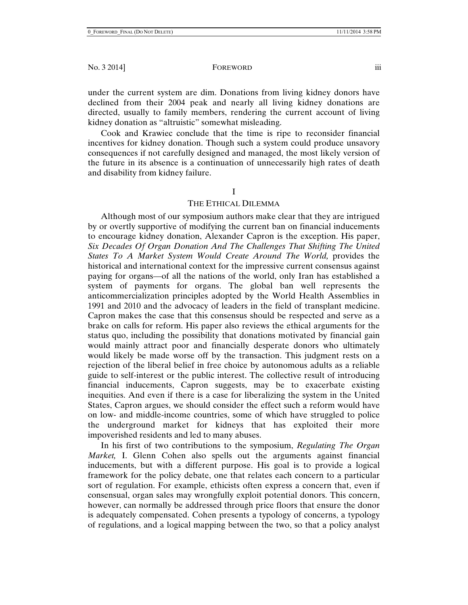under the current system are dim. Donations from living kidney donors have declined from their 2004 peak and nearly all living kidney donations are directed, usually to family members, rendering the current account of living kidney donation as "altruistic" somewhat misleading.

Cook and Krawiec conclude that the time is ripe to reconsider financial incentives for kidney donation. Though such a system could produce unsavory consequences if not carefully designed and managed, the most likely version of the future in its absence is a continuation of unnecessarily high rates of death and disability from kidney failure.

### I

# THE ETHICAL DILEMMA

Although most of our symposium authors make clear that they are intrigued by or overtly supportive of modifying the current ban on financial inducements to encourage kidney donation, Alexander Capron is the exception. His paper, *Six Decades Of Organ Donation And The Challenges That Shifting The United States To A Market System Would Create Around The World,* provides the historical and international context for the impressive current consensus against paying for organs—of all the nations of the world, only Iran has established a system of payments for organs. The global ban well represents the anticommercialization principles adopted by the World Health Assemblies in 1991 and 2010 and the advocacy of leaders in the field of transplant medicine. Capron makes the case that this consensus should be respected and serve as a brake on calls for reform. His paper also reviews the ethical arguments for the status quo, including the possibility that donations motivated by financial gain would mainly attract poor and financially desperate donors who ultimately would likely be made worse off by the transaction. This judgment rests on a rejection of the liberal belief in free choice by autonomous adults as a reliable guide to self-interest or the public interest. The collective result of introducing financial inducements, Capron suggests, may be to exacerbate existing inequities. And even if there is a case for liberalizing the system in the United States, Capron argues, we should consider the effect such a reform would have on low- and middle-income countries, some of which have struggled to police the underground market for kidneys that has exploited their more impoverished residents and led to many abuses.

In his first of two contributions to the symposium, *Regulating The Organ Market,* I. Glenn Cohen also spells out the arguments against financial inducements, but with a different purpose. His goal is to provide a logical framework for the policy debate, one that relates each concern to a particular sort of regulation. For example, ethicists often express a concern that, even if consensual, organ sales may wrongfully exploit potential donors. This concern, however, can normally be addressed through price floors that ensure the donor is adequately compensated. Cohen presents a typology of concerns, a typology of regulations, and a logical mapping between the two, so that a policy analyst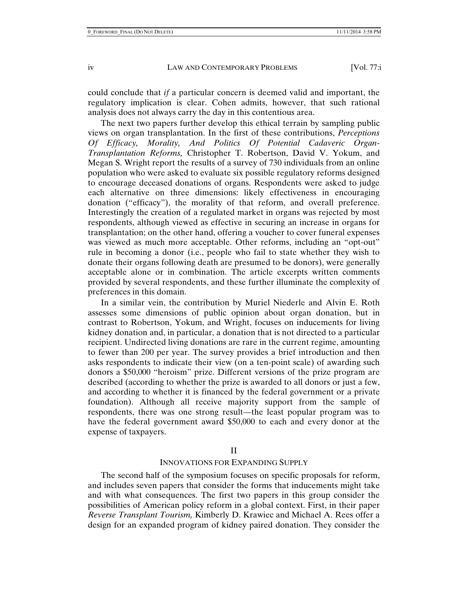could conclude that *if* a particular concern is deemed valid and important, the regulatory implication is clear. Cohen admits, however, that such rational analysis does not always carry the day in this contentious area.

The next two papers further develop this ethical terrain by sampling public views on organ transplantation. In the first of these contributions, *Perceptions Of Efficacy, Morality, And Politics Of Potential Cadaveric Organ-Transplantation Reforms,* Christopher T. Robertson, David V. Yokum, and Megan S. Wright report the results of a survey of 730 individuals from an online population who were asked to evaluate six possible regulatory reforms designed to encourage deceased donations of organs. Respondents were asked to judge each alternative on three dimensions: likely effectiveness in encouraging donation ("efficacy"), the morality of that reform, and overall preference. Interestingly the creation of a regulated market in organs was rejected by most respondents, although viewed as effective in securing an increase in organs for transplantation; on the other hand, offering a voucher to cover funeral expenses was viewed as much more acceptable. Other reforms, including an "opt-out" rule in becoming a donor (i.e., people who fail to state whether they wish to donate their organs following death are presumed to be donors), were generally acceptable alone or in combination. The article excerpts written comments provided by several respondents, and these further illuminate the complexity of preferences in this domain.

In a similar vein, the contribution by Muriel Niederle and Alvin E. Roth assesses some dimensions of public opinion about organ donation, but in contrast to Robertson, Yokum, and Wright, focuses on inducements for living kidney donation and, in particular, a donation that is not directed to a particular recipient. Undirected living donations are rare in the current regime, amounting to fewer than 200 per year. The survey provides a brief introduction and then asks respondents to indicate their view (on a ten-point scale) of awarding such donors a \$50,000 "heroism" prize. Different versions of the prize program are described (according to whether the prize is awarded to all donors or just a few, and according to whether it is financed by the federal government or a private foundation). Although all receive majority support from the sample of respondents, there was one strong result—the least popular program was to have the federal government award \$50,000 to each and every donor at the expense of taxpayers.

# II

# INNOVATIONS FOR EXPANDING SUPPLY

The second half of the symposium focuses on specific proposals for reform, and includes seven papers that consider the forms that inducements might take and with what consequences. The first two papers in this group consider the possibilities of American policy reform in a global context. First, in their paper *Reverse Transplant Tourism,* Kimberly D. Krawiec and Michael A. Rees offer a design for an expanded program of kidney paired donation. They consider the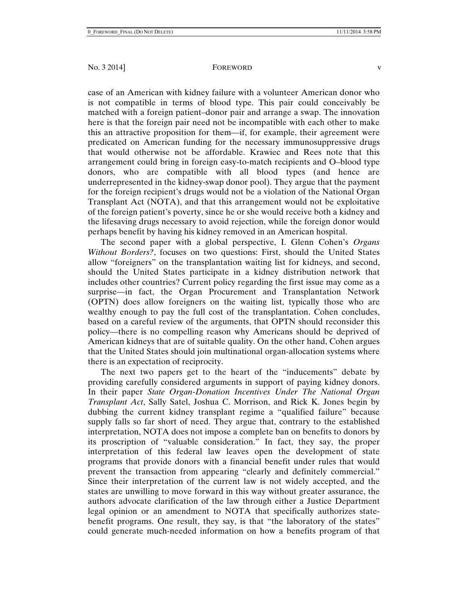case of an American with kidney failure with a volunteer American donor who is not compatible in terms of blood type. This pair could conceivably be matched with a foreign patient–donor pair and arrange a swap. The innovation here is that the foreign pair need not be incompatible with each other to make this an attractive proposition for them—if, for example, their agreement were predicated on American funding for the necessary immunosuppressive drugs that would otherwise not be affordable. Krawiec and Rees note that this arrangement could bring in foreign easy-to-match recipients and O–blood type donors, who are compatible with all blood types (and hence are underrepresented in the kidney-swap donor pool). They argue that the payment for the foreign recipient's drugs would not be a violation of the National Organ Transplant Act (NOTA), and that this arrangement would not be exploitative of the foreign patient's poverty, since he or she would receive both a kidney and the lifesaving drugs necessary to avoid rejection, while the foreign donor would perhaps benefit by having his kidney removed in an American hospital.

The second paper with a global perspective, I. Glenn Cohen's *Organs Without Borders?*, focuses on two questions: First, should the United States allow "foreigners" on the transplantation waiting list for kidneys, and second, should the United States participate in a kidney distribution network that includes other countries? Current policy regarding the first issue may come as a surprise—in fact, the Organ Procurement and Transplantation Network (OPTN) does allow foreigners on the waiting list, typically those who are wealthy enough to pay the full cost of the transplantation. Cohen concludes, based on a careful review of the arguments, that OPTN should reconsider this policy—there is no compelling reason why Americans should be deprived of American kidneys that are of suitable quality. On the other hand, Cohen argues that the United States should join multinational organ-allocation systems where there is an expectation of reciprocity.

The next two papers get to the heart of the "inducements" debate by providing carefully considered arguments in support of paying kidney donors. In their paper *State Organ-Donation Incentives Under The National Organ Transplant Act*, Sally Satel, Joshua C. Morrison, and Rick K. Jones begin by dubbing the current kidney transplant regime a "qualified failure" because supply falls so far short of need. They argue that, contrary to the established interpretation, NOTA does not impose a complete ban on benefits to donors by its proscription of "valuable consideration." In fact, they say, the proper interpretation of this federal law leaves open the development of state programs that provide donors with a financial benefit under rules that would prevent the transaction from appearing "clearly and definitely commercial." Since their interpretation of the current law is not widely accepted, and the states are unwilling to move forward in this way without greater assurance, the authors advocate clarification of the law through either a Justice Department legal opinion or an amendment to NOTA that specifically authorizes statebenefit programs. One result, they say, is that "the laboratory of the states" could generate much-needed information on how a benefits program of that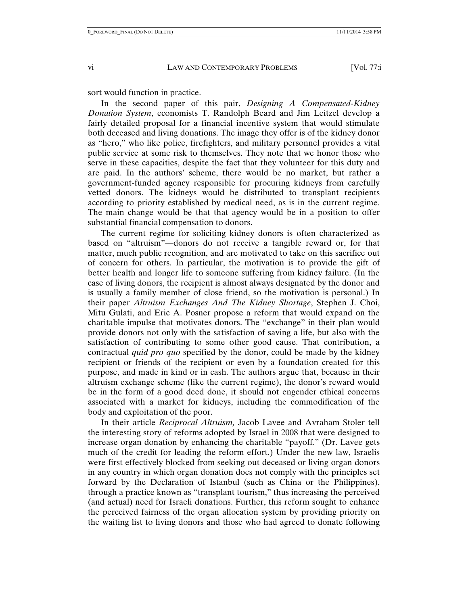sort would function in practice.

In the second paper of this pair, *Designing A Compensated-Kidney Donation System*, economists T. Randolph Beard and Jim Leitzel develop a fairly detailed proposal for a financial incentive system that would stimulate both deceased and living donations. The image they offer is of the kidney donor as "hero," who like police, firefighters, and military personnel provides a vital public service at some risk to themselves. They note that we honor those who serve in these capacities, despite the fact that they volunteer for this duty and are paid. In the authors' scheme, there would be no market, but rather a government-funded agency responsible for procuring kidneys from carefully vetted donors. The kidneys would be distributed to transplant recipients according to priority established by medical need, as is in the current regime. The main change would be that that agency would be in a position to offer substantial financial compensation to donors.

The current regime for soliciting kidney donors is often characterized as based on "altruism"—donors do not receive a tangible reward or, for that matter, much public recognition, and are motivated to take on this sacrifice out of concern for others. In particular, the motivation is to provide the gift of better health and longer life to someone suffering from kidney failure. (In the case of living donors, the recipient is almost always designated by the donor and is usually a family member of close friend, so the motivation is personal.) In their paper *Altruism Exchanges And The Kidney Shortage*, Stephen J. Choi, Mitu Gulati, and Eric A. Posner propose a reform that would expand on the charitable impulse that motivates donors. The "exchange" in their plan would provide donors not only with the satisfaction of saving a life, but also with the satisfaction of contributing to some other good cause. That contribution, a contractual *quid pro quo* specified by the donor, could be made by the kidney recipient or friends of the recipient or even by a foundation created for this purpose, and made in kind or in cash. The authors argue that, because in their altruism exchange scheme (like the current regime), the donor's reward would be in the form of a good deed done, it should not engender ethical concerns associated with a market for kidneys, including the commodification of the body and exploitation of the poor.

In their article *Reciprocal Altruism,* Jacob Lavee and Avraham Stoler tell the interesting story of reforms adopted by Israel in 2008 that were designed to increase organ donation by enhancing the charitable "payoff." (Dr. Lavee gets much of the credit for leading the reform effort.) Under the new law, Israelis were first effectively blocked from seeking out deceased or living organ donors in any country in which organ donation does not comply with the principles set forward by the Declaration of Istanbul (such as China or the Philippines), through a practice known as "transplant tourism," thus increasing the perceived (and actual) need for Israeli donations. Further, this reform sought to enhance the perceived fairness of the organ allocation system by providing priority on the waiting list to living donors and those who had agreed to donate following